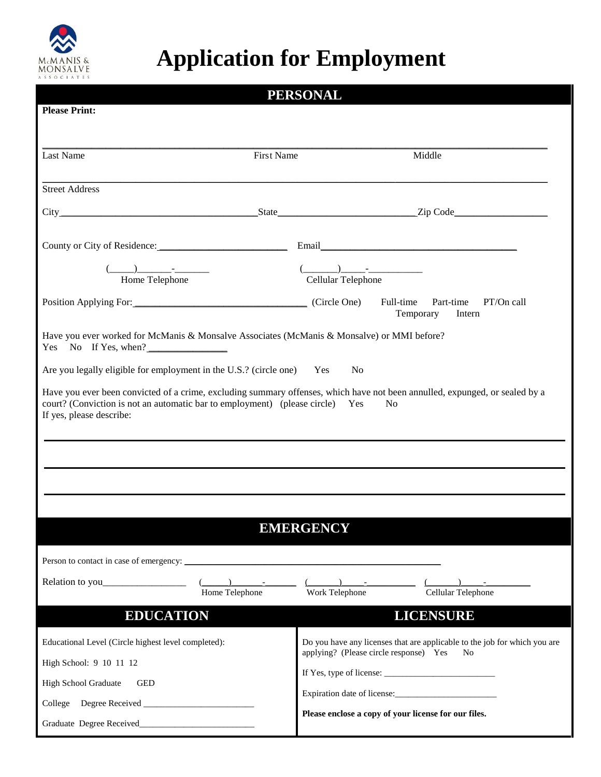

## **Application for Employment**

| <b>PERSONAL</b>                                                                                                                                                                                                                                            |                                              |                                                                           |  |  |
|------------------------------------------------------------------------------------------------------------------------------------------------------------------------------------------------------------------------------------------------------------|----------------------------------------------|---------------------------------------------------------------------------|--|--|
| <b>Please Print:</b>                                                                                                                                                                                                                                       |                                              |                                                                           |  |  |
|                                                                                                                                                                                                                                                            |                                              |                                                                           |  |  |
| Last Name                                                                                                                                                                                                                                                  | <b>First Name</b>                            | Middle                                                                    |  |  |
|                                                                                                                                                                                                                                                            |                                              |                                                                           |  |  |
| <b>Street Address</b>                                                                                                                                                                                                                                      |                                              |                                                                           |  |  |
|                                                                                                                                                                                                                                                            |                                              |                                                                           |  |  |
|                                                                                                                                                                                                                                                            |                                              |                                                                           |  |  |
| County or City of Residence: Email Email Email                                                                                                                                                                                                             |                                              |                                                                           |  |  |
| Dependence of the Telephone                                                                                                                                                                                                                                | $($<br>Cellular Telephone                    |                                                                           |  |  |
|                                                                                                                                                                                                                                                            |                                              |                                                                           |  |  |
| Position Applying For: (Circle One)                                                                                                                                                                                                                        |                                              | Full-time<br>Part-time<br>PT/On call<br>Temporary<br>Intern               |  |  |
| Have you ever worked for McManis & Monsalve Associates (McManis & Monsalve) or MMI before?<br>Yes No If Yes, when?                                                                                                                                         |                                              |                                                                           |  |  |
| Are you legally eligible for employment in the U.S.? (circle one) Yes<br>N <sub>0</sub>                                                                                                                                                                    |                                              |                                                                           |  |  |
| Have you ever been convicted of a crime, excluding summary offenses, which have not been annulled, expunged, or sealed by a<br>court? (Conviction is not an automatic bar to employment) (please circle) Yes<br>N <sub>0</sub><br>If yes, please describe: |                                              |                                                                           |  |  |
|                                                                                                                                                                                                                                                            |                                              |                                                                           |  |  |
|                                                                                                                                                                                                                                                            |                                              |                                                                           |  |  |
|                                                                                                                                                                                                                                                            |                                              |                                                                           |  |  |
|                                                                                                                                                                                                                                                            |                                              |                                                                           |  |  |
|                                                                                                                                                                                                                                                            |                                              |                                                                           |  |  |
| <b>EMERGENCY</b>                                                                                                                                                                                                                                           |                                              |                                                                           |  |  |
|                                                                                                                                                                                                                                                            |                                              |                                                                           |  |  |
|                                                                                                                                                                                                                                                            |                                              | and the second control of                                                 |  |  |
| Home Telephone                                                                                                                                                                                                                                             | Work Telephone                               | Cellular Telephone                                                        |  |  |
| <b>EDUCATION</b><br><b>LICENSURE</b>                                                                                                                                                                                                                       |                                              |                                                                           |  |  |
| Educational Level (Circle highest level completed):                                                                                                                                                                                                        |                                              | Do you have any licenses that are applicable to the job for which you are |  |  |
| High School: 9 10 11 12                                                                                                                                                                                                                                    | applying? (Please circle response) Yes<br>No |                                                                           |  |  |
| High School Graduate<br><b>GED</b>                                                                                                                                                                                                                         |                                              |                                                                           |  |  |
|                                                                                                                                                                                                                                                            |                                              |                                                                           |  |  |
|                                                                                                                                                                                                                                                            |                                              | Please enclose a copy of your license for our files.                      |  |  |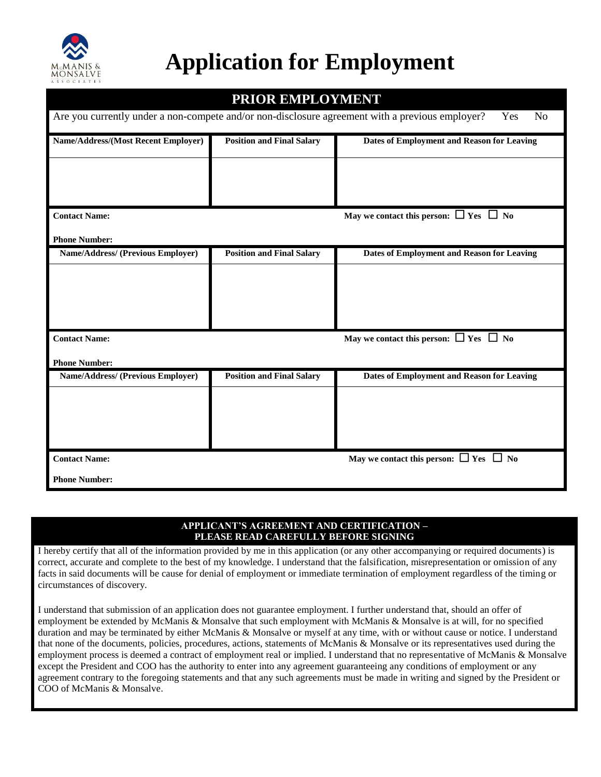

## **Application for Employment**

| PRIOR EMPLOYMENT<br>Are you currently under a non-compete and/or non-disclosure agreement with a previous employer?<br>Yes<br>N <sub>o</sub> |                                  |                                                  |  |
|----------------------------------------------------------------------------------------------------------------------------------------------|----------------------------------|--------------------------------------------------|--|
|                                                                                                                                              |                                  |                                                  |  |
|                                                                                                                                              |                                  |                                                  |  |
| <b>Contact Name:</b>                                                                                                                         |                                  | May we contact this person: $\Box$ Yes $\Box$ No |  |
| <b>Phone Number:</b>                                                                                                                         |                                  |                                                  |  |
| <b>Name/Address/ (Previous Employer)</b>                                                                                                     | <b>Position and Final Salary</b> | Dates of Employment and Reason for Leaving       |  |
|                                                                                                                                              |                                  |                                                  |  |
|                                                                                                                                              |                                  |                                                  |  |
|                                                                                                                                              |                                  |                                                  |  |
| <b>Contact Name:</b>                                                                                                                         |                                  | May we contact this person: $\Box$ Yes $\Box$ No |  |
| <b>Phone Number:</b>                                                                                                                         |                                  |                                                  |  |
| Name/Address/ (Previous Employer)                                                                                                            | <b>Position and Final Salary</b> | Dates of Employment and Reason for Leaving       |  |
|                                                                                                                                              |                                  |                                                  |  |
|                                                                                                                                              |                                  |                                                  |  |
|                                                                                                                                              |                                  |                                                  |  |
| <b>Contact Name:</b>                                                                                                                         |                                  | May we contact this person: $\Box$ Yes $\Box$ No |  |
| <b>Phone Number:</b>                                                                                                                         |                                  |                                                  |  |

## **APPLICANT'S AGREEMENT AND CERTIFICATION – PLEASE READ CAREFULLY BEFORE SIGNING**

I hereby certify that all of the information provided by me in this application (or any other accompanying or required documents) is correct, accurate and complete to the best of my knowledge. I understand that the falsification, misrepresentation or omission of any facts in said documents will be cause for denial of employment or immediate termination of employment regardless of the timing or circumstances of discovery.

I understand that submission of an application does not guarantee employment. I further understand that, should an offer of employment be extended by McManis & Monsalve that such employment with McManis & Monsalve is at will, for no specified duration and may be terminated by either McManis & Monsalve or myself at any time, with or without cause or notice. I understand that none of the documents, policies, procedures, actions, statements of McManis & Monsalve or its representatives used during the employment process is deemed a contract of employment real or implied. I understand that no representative of McManis & Monsalve except the President and COO has the authority to enter into any agreement guaranteeing any conditions of employment or any agreement contrary to the foregoing statements and that any such agreements must be made in writing and signed by the President or COO of McManis & Monsalve.